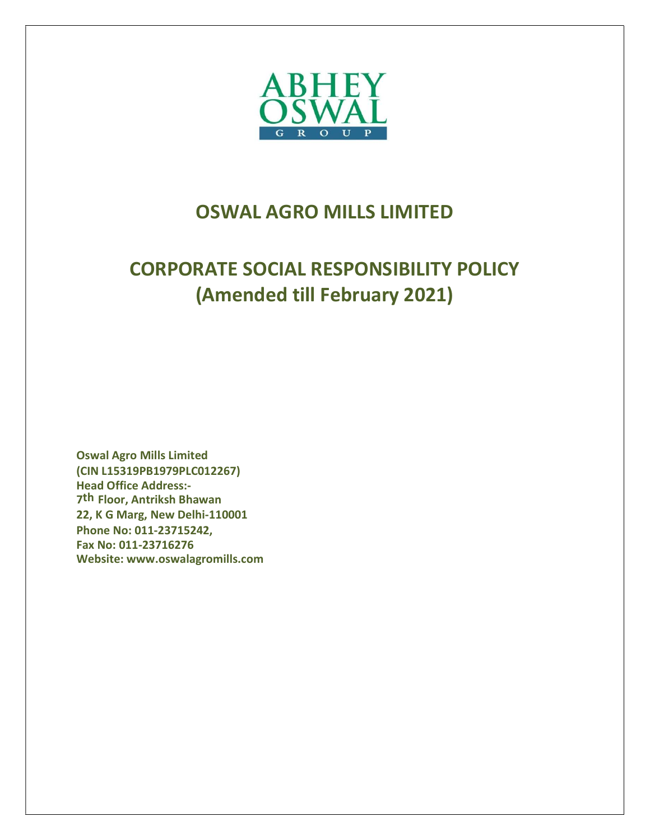

# OSWAL AGRO MILLS LIMITED

# CORPORATE SOCIAL RESPONSIBILITY POLICY (Amended till February 2021)

Oswal Agro Mills Limited (CIN L15319PB1979PLC012267) Head Office Address:- 7th Floor, Antriksh Bhawan 22, K G Marg, New Delhi-110001 Phone No: 011-23715242, Fax No: 011-23716276 Website: www.oswalagromills.com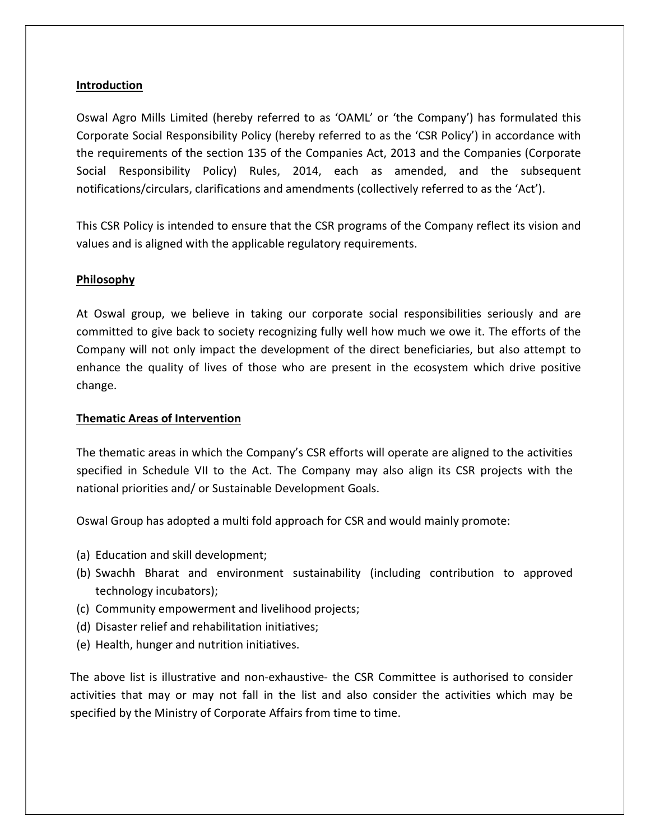## Introduction

Oswal Agro Mills Limited (hereby referred to as 'OAML' or 'the Company') has formulated this Corporate Social Responsibility Policy (hereby referred to as the 'CSR Policy') in accordance with the requirements of the section 135 of the Companies Act, 2013 and the Companies (Corporate Social Responsibility Policy) Rules, 2014, each as amended, and the subsequent notifications/circulars, clarifications and amendments (collectively referred to as the 'Act').

This CSR Policy is intended to ensure that the CSR programs of the Company reflect its vision and values and is aligned with the applicable regulatory requirements.

### **Philosophy**

At Oswal group, we believe in taking our corporate social responsibilities seriously and are committed to give back to society recognizing fully well how much we owe it. The efforts of the Company will not only impact the development of the direct beneficiaries, but also attempt to enhance the quality of lives of those who are present in the ecosystem which drive positive change.

### Thematic Areas of Intervention

The thematic areas in which the Company's CSR efforts will operate are aligned to the activities specified in Schedule VII to the Act. The Company may also align its CSR projects with the national priorities and/ or Sustainable Development Goals.

Oswal Group has adopted a multi fold approach for CSR and would mainly promote:

- (a) Education and skill development;
- (b) Swachh Bharat and environment sustainability (including contribution to approved technology incubators);
- (c) Community empowerment and livelihood projects;
- (d) Disaster relief and rehabilitation initiatives;
- (e) Health, hunger and nutrition initiatives.

The above list is illustrative and non-exhaustive- the CSR Committee is authorised to consider activities that may or may not fall in the list and also consider the activities which may be specified by the Ministry of Corporate Affairs from time to time.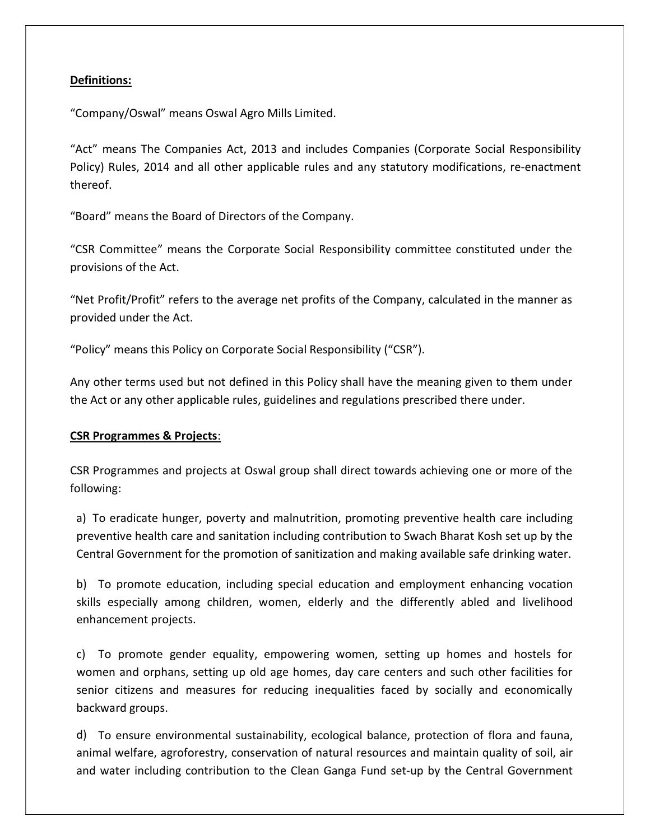### Definitions:

"Company/Oswal" means Oswal Agro Mills Limited.

"Act" means The Companies Act, 2013 and includes Companies (Corporate Social Responsibility Policy) Rules, 2014 and all other applicable rules and any statutory modifications, re-enactment thereof.

"Board" means the Board of Directors of the Company.

"CSR Committee" means the Corporate Social Responsibility committee constituted under the provisions of the Act.

"Net Profit/Profit" refers to the average net profits of the Company, calculated in the manner as provided under the Act.

"Policy" means this Policy on Corporate Social Responsibility ("CSR").

Any other terms used but not defined in this Policy shall have the meaning given to them under the Act or any other applicable rules, guidelines and regulations prescribed there under.

#### CSR Programmes & Projects:

CSR Programmes and projects at Oswal group shall direct towards achieving one or more of the following:

a) To eradicate hunger, poverty and malnutrition, promoting preventive health care including preventive health care and sanitation including contribution to Swach Bharat Kosh set up by the Central Government for the promotion of sanitization and making available safe drinking water.

b) To promote education, including special education and employment enhancing vocation skills especially among children, women, elderly and the differently abled and livelihood enhancement projects.

c) To promote gender equality, empowering women, setting up homes and hostels for women and orphans, setting up old age homes, day care centers and such other facilities for senior citizens and measures for reducing inequalities faced by socially and economically backward groups.

d) To ensure environmental sustainability, ecological balance, protection of flora and fauna, animal welfare, agroforestry, conservation of natural resources and maintain quality of soil, air and water including contribution to the Clean Ganga Fund set-up by the Central Government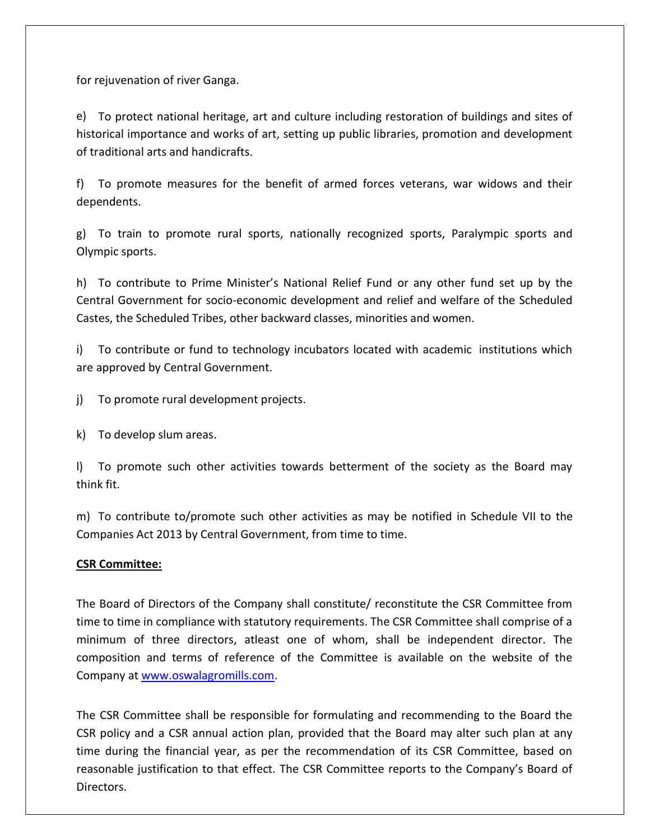for rejuvenation of river Ganga.

e) To protect national heritage, art and culture including restoration of buildings and sites of historical importance and works of art, setting up public libraries, promotion and development of traditional arts and handicrafts.

f) To promote measures for the benefit of armed forces veterans, war widows and their dependents.

g) To train to promote rural sports, nationally recognized sports, Paralympic sports and Olympic sports.

h) To contribute to Prime Minister's National Relief Fund or any other fund set up by the Central Government for socio-economic development and relief and welfare of the Scheduled Castes, the Scheduled Tribes, other backward classes, minorities and women.

i) To contribute or fund to technology incubators located with academic institutions which are approved by Central Government.

j) To promote rural development projects.

k) To develop slum areas.

l) To promote such other activities towards betterment of the society as the Board may think fit.

m) To contribute to/promote such other activities as may be notified in Schedule VII to the Companies Act 2013 by Central Government, from time to time.

### CSR Committee:

The Board of Directors of the Company shall constitute/ reconstitute the CSR Committee from time to time in compliance with statutory requirements. The CSR Committee shall comprise of a minimum of three directors, atleast one of whom, shall be independent director. The composition and terms of reference of the Committee is available on the website of the Company at www.oswalagromills.com.

The CSR Committee shall be responsible for formulating and recommending to the Board the CSR policy and a CSR annual action plan, provided that the Board may alter such plan at any time during the financial year, as per the recommendation of its CSR Committee, based on reasonable justification to that effect. The CSR Committee reports to the Company's Board of Directors.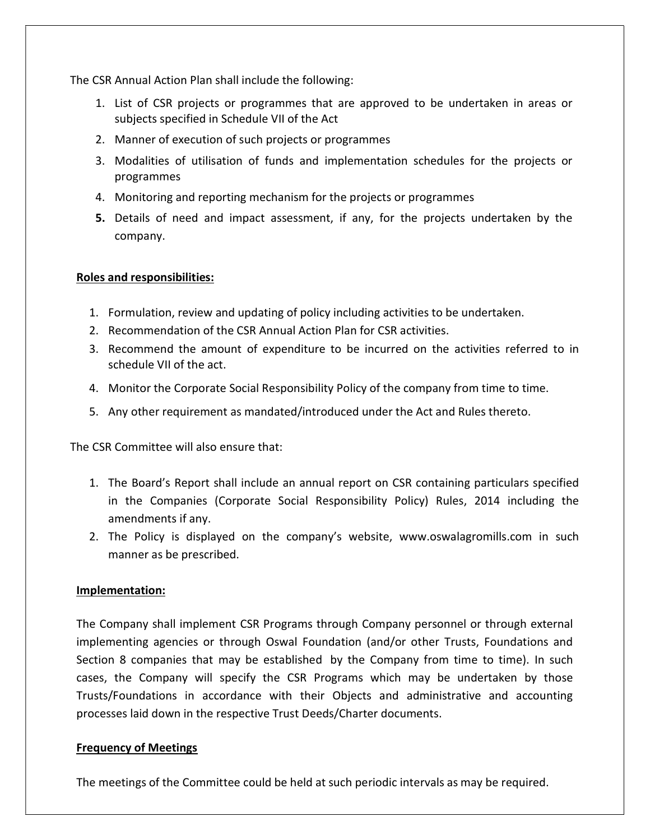The CSR Annual Action Plan shall include the following:

- 1. List of CSR projects or programmes that are approved to be undertaken in areas or subjects specified in Schedule VII of the Act
- 2. Manner of execution of such projects or programmes
- 3. Modalities of utilisation of funds and implementation schedules for the projects or programmes
- 4. Monitoring and reporting mechanism for the projects or programmes
- 5. Details of need and impact assessment, if any, for the projects undertaken by the company.

### Roles and responsibilities:

- 1. Formulation, review and updating of policy including activities to be undertaken.
- 2. Recommendation of the CSR Annual Action Plan for CSR activities.
- 3. Recommend the amount of expenditure to be incurred on the activities referred to in schedule VII of the act.
- 4. Monitor the Corporate Social Responsibility Policy of the company from time to time.
- 5. Any other requirement as mandated/introduced under the Act and Rules thereto.

The CSR Committee will also ensure that:

- 1. The Board's Report shall include an annual report on CSR containing particulars specified in the Companies (Corporate Social Responsibility Policy) Rules, 2014 including the amendments if any.
- 2. The Policy is displayed on the company's website, www.oswalagromills.com in such manner as be prescribed.

### Implementation:

The Company shall implement CSR Programs through Company personnel or through external implementing agencies or through Oswal Foundation (and/or other Trusts, Foundations and Section 8 companies that may be established by the Company from time to time). In such cases, the Company will specify the CSR Programs which may be undertaken by those Trusts/Foundations in accordance with their Objects and administrative and accounting processes laid down in the respective Trust Deeds/Charter documents.

#### Frequency of Meetings

The meetings of the Committee could be held at such periodic intervals as may be required.